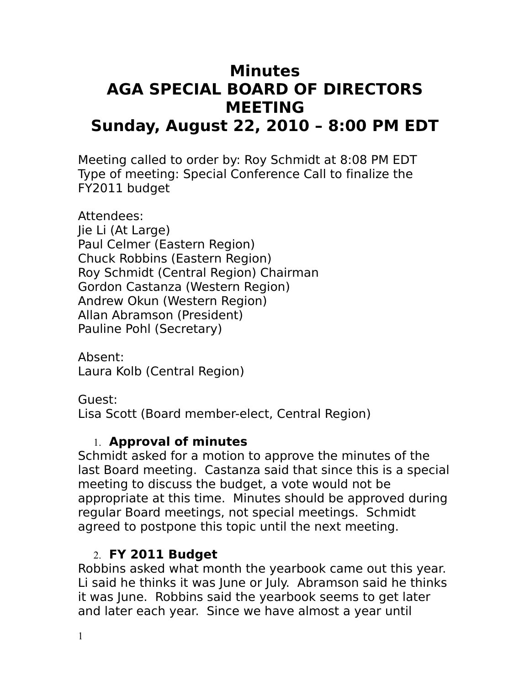# **Minutes AGA SPECIAL BOARD OF DIRECTORS MEETING Sunday, August 22, 2010 – 8:00 PM EDT**

Meeting called to order by: Roy Schmidt at 8:08 PM EDT Type of meeting: Special Conference Call to finalize the FY2011 budget

Attendees: Jie Li (At Large) Paul Celmer (Eastern Region) Chuck Robbins (Eastern Region) Roy Schmidt (Central Region) Chairman Gordon Castanza (Western Region) Andrew Okun (Western Region) Allan Abramson (President) Pauline Pohl (Secretary)

Absent: Laura Kolb (Central Region)

Guest: Lisa Scott (Board member-elect, Central Region)

## 1. **Approval of minutes**

Schmidt asked for a motion to approve the minutes of the last Board meeting. Castanza said that since this is a special meeting to discuss the budget, a vote would not be appropriate at this time. Minutes should be approved during regular Board meetings, not special meetings. Schmidt agreed to postpone this topic until the next meeting.

# 2. **FY 2011 Budget**

Robbins asked what month the yearbook came out this year. Li said he thinks it was June or July. Abramson said he thinks it was June. Robbins said the yearbook seems to get later and later each year. Since we have almost a year until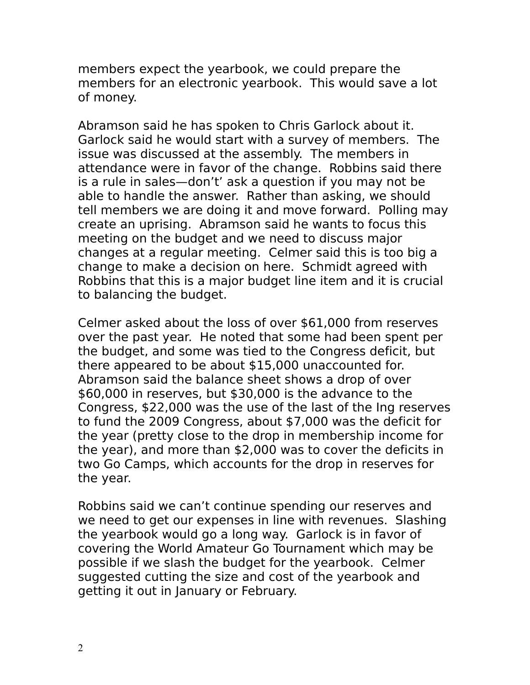members expect the yearbook, we could prepare the members for an electronic yearbook. This would save a lot of money.

Abramson said he has spoken to Chris Garlock about it. Garlock said he would start with a survey of members. The issue was discussed at the assembly. The members in attendance were in favor of the change. Robbins said there is a rule in sales—don't' ask a question if you may not be able to handle the answer. Rather than asking, we should tell members we are doing it and move forward. Polling may create an uprising. Abramson said he wants to focus this meeting on the budget and we need to discuss major changes at a regular meeting. Celmer said this is too big a change to make a decision on here. Schmidt agreed with Robbins that this is a major budget line item and it is crucial to balancing the budget.

Celmer asked about the loss of over \$61,000 from reserves over the past year. He noted that some had been spent per the budget, and some was tied to the Congress deficit, but there appeared to be about \$15,000 unaccounted for. Abramson said the balance sheet shows a drop of over \$60,000 in reserves, but \$30,000 is the advance to the Congress, \$22,000 was the use of the last of the Ing reserves to fund the 2009 Congress, about \$7,000 was the deficit for the year (pretty close to the drop in membership income for the year), and more than \$2,000 was to cover the deficits in two Go Camps, which accounts for the drop in reserves for the year.

Robbins said we can't continue spending our reserves and we need to get our expenses in line with revenues. Slashing the yearbook would go a long way. Garlock is in favor of covering the World Amateur Go Tournament which may be possible if we slash the budget for the yearbook. Celmer suggested cutting the size and cost of the yearbook and getting it out in January or February.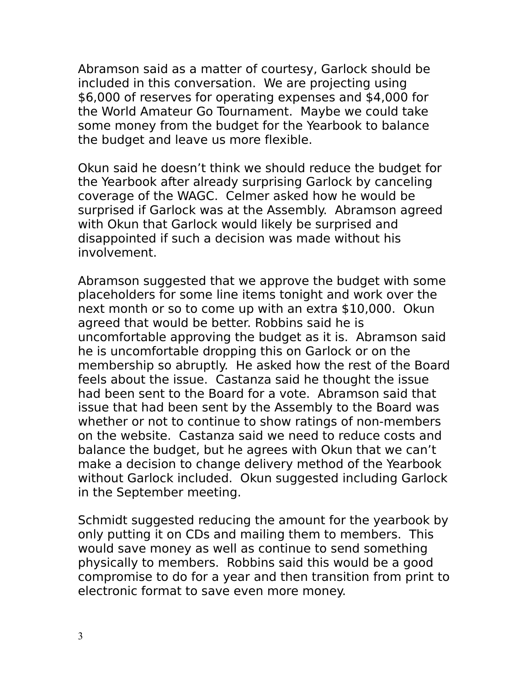Abramson said as a matter of courtesy, Garlock should be included in this conversation. We are projecting using \$6,000 of reserves for operating expenses and \$4,000 for the World Amateur Go Tournament. Maybe we could take some money from the budget for the Yearbook to balance the budget and leave us more flexible.

Okun said he doesn't think we should reduce the budget for the Yearbook after already surprising Garlock by canceling coverage of the WAGC. Celmer asked how he would be surprised if Garlock was at the Assembly. Abramson agreed with Okun that Garlock would likely be surprised and disappointed if such a decision was made without his involvement.

Abramson suggested that we approve the budget with some placeholders for some line items tonight and work over the next month or so to come up with an extra \$10,000. Okun agreed that would be better. Robbins said he is uncomfortable approving the budget as it is. Abramson said he is uncomfortable dropping this on Garlock or on the membership so abruptly. He asked how the rest of the Board feels about the issue. Castanza said he thought the issue had been sent to the Board for a vote. Abramson said that issue that had been sent by the Assembly to the Board was whether or not to continue to show ratings of non-members on the website. Castanza said we need to reduce costs and balance the budget, but he agrees with Okun that we can't make a decision to change delivery method of the Yearbook without Garlock included. Okun suggested including Garlock in the September meeting.

Schmidt suggested reducing the amount for the yearbook by only putting it on CDs and mailing them to members. This would save money as well as continue to send something physically to members. Robbins said this would be a good compromise to do for a year and then transition from print to electronic format to save even more money.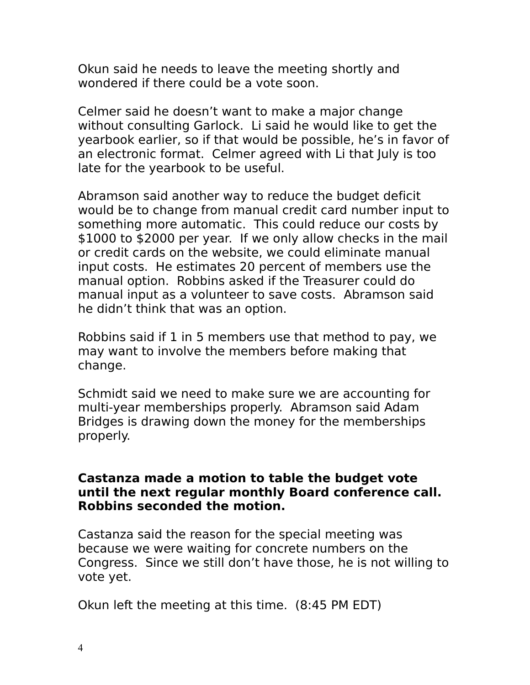Okun said he needs to leave the meeting shortly and wondered if there could be a vote soon.

Celmer said he doesn't want to make a major change without consulting Garlock. Li said he would like to get the yearbook earlier, so if that would be possible, he's in favor of an electronic format. Celmer agreed with Li that July is too late for the yearbook to be useful.

Abramson said another way to reduce the budget deficit would be to change from manual credit card number input to something more automatic. This could reduce our costs by \$1000 to \$2000 per year. If we only allow checks in the mail or credit cards on the website, we could eliminate manual input costs. He estimates 20 percent of members use the manual option. Robbins asked if the Treasurer could do manual input as a volunteer to save costs. Abramson said he didn't think that was an option.

Robbins said if 1 in 5 members use that method to pay, we may want to involve the members before making that change.

Schmidt said we need to make sure we are accounting for multi-year memberships properly. Abramson said Adam Bridges is drawing down the money for the memberships properly.

#### **Castanza made a motion to table the budget vote until the next regular monthly Board conference call. Robbins seconded the motion.**

Castanza said the reason for the special meeting was because we were waiting for concrete numbers on the Congress. Since we still don't have those, he is not willing to vote yet.

Okun left the meeting at this time. (8:45 PM EDT)